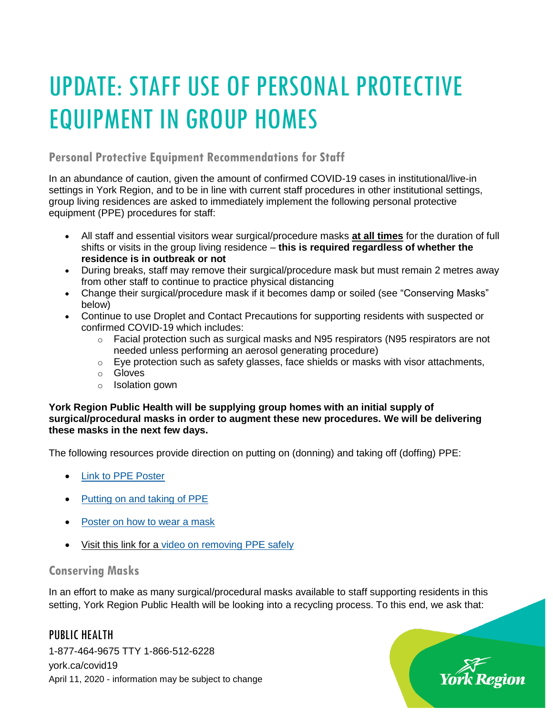# UPDATE: STAFF USE OF PERSONAL PROTECTIVE EQUIPMENT IN GROUP HOMES

### **Personal Protective Equipment Recommendations for Staff**

In an abundance of caution, given the amount of confirmed COVID-19 cases in institutional/live-in settings in York Region, and to be in line with current staff procedures in other institutional settings, group living residences are asked to immediately implement the following personal protective equipment (PPE) procedures for staff:

- All staff and essential visitors wear surgical/procedure masks **at all times** for the duration of full shifts or visits in the group living residence – **this is required regardless of whether the residence is in outbreak or not**
- During breaks, staff may remove their surgical/procedure mask but must remain 2 metres away from other staff to continue to practice physical distancing
- Change their surgical/procedure mask if it becomes damp or soiled (see "Conserving Masks" below)
- Continue to use Droplet and Contact Precautions for supporting residents with suspected or confirmed COVID-19 which includes:
	- $\circ$  Facial protection such as surgical masks and N95 respirators (N95 respirators are not needed unless performing an aerosol generating procedure)
	- $\circ$  Eye protection such as safety glasses, face shields or masks with visor attachments,
	- o Gloves
	- o Isolation gown

#### **York Region Public Health will be supplying group homes with an initial supply of surgical/procedural masks in order to augment these new procedures. We will be delivering these masks in the next few days.**

The following resources provide direction on putting on (donning) and taking off (doffing) PPE:

- [Link to PPE Poster](https://www.york.ca/wps/wcm/connect/yorkpublic/a71d0985-7ab5-4a2d-9a10-808a17e10ca5/Personal+Protective+Equipment+Poster.pdf?MOD=AJPERES&CVID=mu8SU02)
- [Putting on and taking of PPE](https://www.publichealthontario.ca/-/media/documents/ncov/ipac/ppe-recommended-steps.pdf?la=en)
- [Poster on how to wear a mask](https://www.publichealthontario.ca/-/media/documents/ncov/factsheet/factsheet-covid-19-how-to-wear-mask.pdf?la=en)
- Visit this link for a [video on removing PPE safely](https://cdn.ymaws.com/www.alphaweb.org/resource/collection/9221E880-473D-46C9-A428-F4F1A67305F8/Taking_off_Full_PPE.mp4)

#### **Conserving Masks**

In an effort to make as many surgical/procedural masks available to staff supporting residents in this setting, York Region Public Health will be looking into a recycling process. To this end, we ask that:

PUBLIC HEALTH 1-877-464-9675 TTY 1-866-512-6228 york.ca/covid19 April 11, 2020 - information may be subject to change